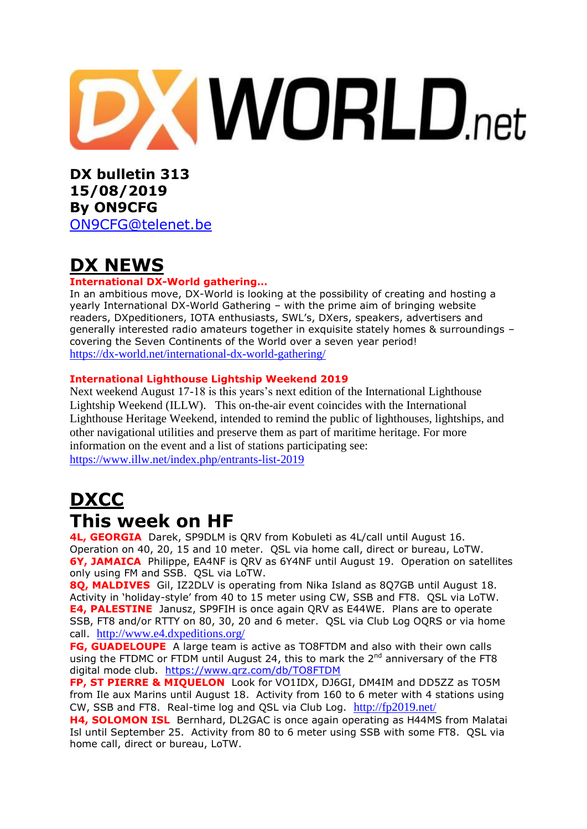

**DX bulletin 313 15/08/2019 By ON9CFG**  [ON9CFG@telenet.be](mailto:ON9CFG@telenet.be)

## **DX NEWS**

#### **International DX-World gathering…**

In an ambitious move, DX-World is looking at the possibility of creating and hosting a yearly International DX-World Gathering – with the prime aim of bringing website readers, DXpeditioners, IOTA enthusiasts, SWL's, DXers, speakers, advertisers and generally interested radio amateurs together in exquisite stately homes & surroundings – covering the Seven Continents of the World over a seven year period! <https://dx-world.net/international-dx-world-gathering/>

#### **International Lighthouse Lightship Weekend 2019**

Next weekend August 17-18 is this years's next edition of the International Lighthouse Lightship Weekend (ILLW). This on-the-air event coincides with the International Lighthouse Heritage Weekend, intended to remind the public of lighthouses, lightships, and other navigational utilities and preserve them as part of maritime heritage. For more information on the event and a list of stations participating see: <https://www.illw.net/index.php/entrants-list-2019>

## **DXCC This week on HF**

**4L, GEORGIA** Darek, SP9DLM is QRV from Kobuleti as 4L/call until August 16. Operation on 40, 20, 15 and 10 meter. QSL via home call, direct or bureau, LoTW. **6Y, JAMAICA** Philippe, EA4NF is QRV as 6Y4NF until August 19. Operation on satellites only using FM and SSB. QSL via LoTW.

**8Q, MALDIVES** Gil, IZ2DLV is operating from Nika Island as 8Q7GB until August 18. Activity in 'holiday-style' from 40 to 15 meter using CW, SSB and FT8. QSL via LoTW. **E4, PALESTINE** Janusz, SP9FIH is once again QRV as E44WE. Plans are to operate SSB, FT8 and/or RTTY on 80, 30, 20 and 6 meter. QSL via Club Log OQRS or via home call. <http://www.e4.dxpeditions.org/>

**FG, GUADELOUPE** A large team is active as TO8FTDM and also with their own calls using the FTDMC or FTDM until August 24, this to mark the  $2^{nd}$  anniversary of the FT8 digital mode club. <https://www.qrz.com/db/TO8FTDM>

**FP, ST PIERRE & MIQUELON** Look for VO1IDX, DJ6GI, DM4IM and DD5ZZ as TO5M from Ile aux Marins until August 18. Activity from 160 to 6 meter with 4 stations using CW, SSB and FT8. Real-time log and QSL via Club Log. <http://fp2019.net/>

**H4, SOLOMON ISL** Bernhard, DL2GAC is once again operating as H44MS from Malatai Isl until September 25. Activity from 80 to 6 meter using SSB with some FT8. QSL via home call, direct or bureau, LoTW.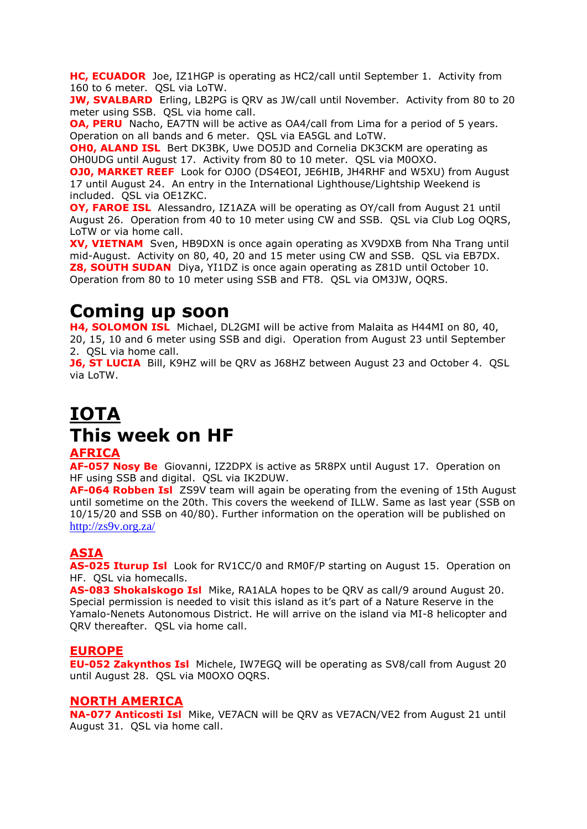**HC, ECUADOR** Joe, IZ1HGP is operating as HC2/call until September 1. Activity from 160 to 6 meter. QSL via LoTW.

**JW, SVALBARD** Erling, LB2PG is QRV as JW/call until November. Activity from 80 to 20 meter using SSB. QSL via home call.

**OA, PERU** Nacho, EA7TN will be active as OA4/call from Lima for a period of 5 years. Operation on all bands and 6 meter. QSL via EA5GL and LoTW.

**OH0, ALAND ISL** Bert DK3BK, Uwe DO5JD and Cornelia DK3CKM are operating as OH0UDG until August 17. Activity from 80 to 10 meter. QSL via M0OXO.

**OJ0, MARKET REEF** Look for OJ0O (DS4EOI, JE6HIB, JH4RHF and W5XU) from August 17 until August 24. An entry in the International Lighthouse/Lightship Weekend is included. QSL via OE1ZKC.

**OY, FAROE ISL** Alessandro, IZ1AZA will be operating as OY/call from August 21 until August 26. Operation from 40 to 10 meter using CW and SSB. QSL via Club Log OQRS, LoTW or via home call.

**XV, VIETNAM** Sven, HB9DXN is once again operating as XV9DXB from Nha Trang until mid-August. Activity on 80, 40, 20 and 15 meter using CW and SSB. QSL via EB7DX. **Z8, SOUTH SUDAN** Diva, YI1DZ is once again operating as Z81D until October 10. Operation from 80 to 10 meter using SSB and FT8. QSL via OM3JW, OQRS.

## **Coming up soon**

**H4, SOLOMON ISL** Michael, DL2GMI will be active from Malaita as H44MI on 80, 40, 20, 15, 10 and 6 meter using SSB and digi. Operation from August 23 until September 2. QSL via home call.

**J6, ST LUCIA** Bill, K9HZ will be QRV as J68HZ between August 23 and October 4. QSL via LoTW.

## **IOTA This week on HF AFRICA**

#### **AF-057 Nosy Be** Giovanni, IZ2DPX is active as 5R8PX until August 17. Operation on HF using SSB and digital. QSL via IK2DUW.

**AF-064 Robben Isl** ZS9V team will again be operating from the evening of 15th August until sometime on the 20th. This covers the weekend of ILLW. Same as last year (SSB on 10/15/20 and SSB on 40/80). Further information on the operation will be published on <http://zs9v.org.za/>

#### **ASIA**

**AS-025 Iturup Isl** Look for RV1CC/0 and RM0F/P starting on August 15. Operation on HF. QSL via homecalls.

**AS-083 Shokalskogo Isl** Mike, RA1ALA hopes to be QRV as call/9 around August 20. Special permission is needed to visit this island as it's part of a Nature Reserve in the Yamalo-Nenets Autonomous District. He will arrive on the island via MI-8 helicopter and QRV thereafter. QSL via home call.

#### **EUROPE**

**EU-052 Zakynthos Isl** Michele, IW7EGQ will be operating as SV8/call from August 20 until August 28. QSL via M0OXO OQRS.

#### **NORTH AMERICA**

**NA-077 Anticosti Isl** Mike, VE7ACN will be QRV as VE7ACN/VE2 from August 21 until August 31. QSL via home call.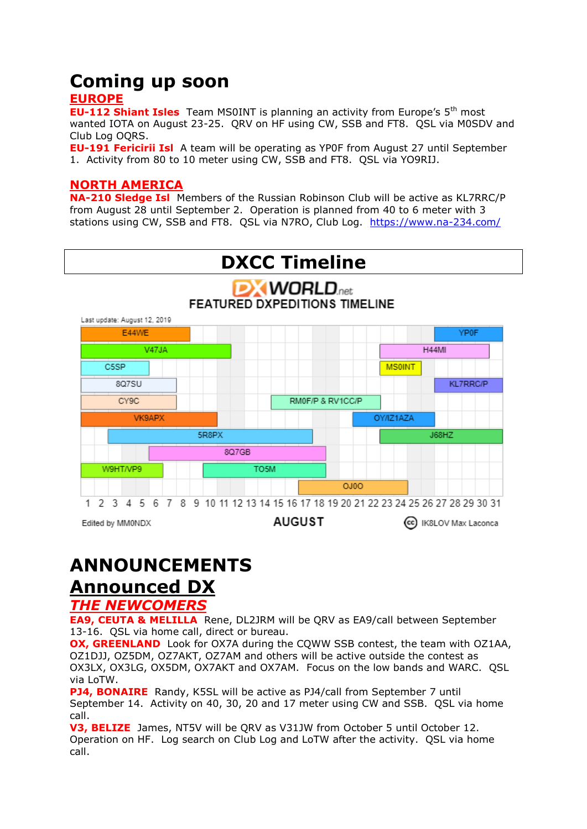### **Coming up soon EUROPE**

**EU-112 Shiant Isles** Team MS0INT is planning an activity from Europe's 5<sup>th</sup> most wanted IOTA on August 23-25. QRV on HF using CW, SSB and FT8. QSL via M0SDV and Club Log OQRS.

**EU-191 Fericirii Isl** A team will be operating as YP0F from August 27 until September 1. Activity from 80 to 10 meter using CW, SSB and FT8. QSL via YO9RIJ.

#### **NORTH AMERICA**

**NA-210 Sledge Isl** Members of the Russian Robinson Club will be active as KL7RRC/P from August 28 until September 2. Operation is planned from 40 to 6 meter with 3 stations using CW, SSB and FT8. QSL via N7RO, Club Log. <https://www.na-234.com/>



# **ANNOUNCEMENTS**

### **Announced DX**

#### *THE NEWCOMERS*

**EA9, CEUTA & MELILLA** Rene, DL2JRM will be QRV as EA9/call between September 13-16. QSL via home call, direct or bureau.

**OX, GREENLAND** Look for OX7A during the COWW SSB contest, the team with OZ1AA. OZ1DJJ, OZ5DM, OZ7AKT, OZ7AM and others will be active outside the contest as OX3LX, OX3LG, OX5DM, OX7AKT and OX7AM. Focus on the low bands and WARC. QSL via LoTW.

**PJ4, BONAIRE** Randy, K5SL will be active as PJ4/call from September 7 until September 14. Activity on 40, 30, 20 and 17 meter using CW and SSB. QSL via home call.

**V3, BELIZE** James, NT5V will be QRV as V31JW from October 5 until October 12. Operation on HF. Log search on Club Log and LoTW after the activity. QSL via home call.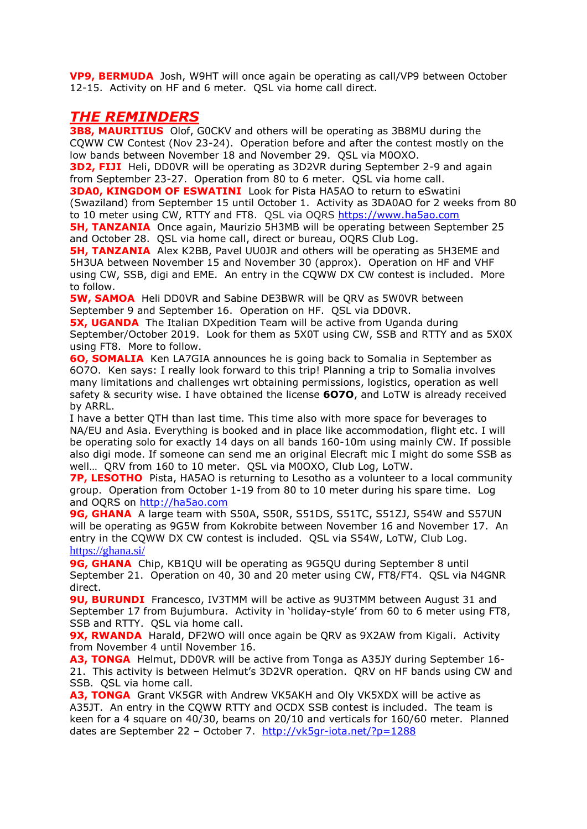**VP9, BERMUDA** Josh, W9HT will once again be operating as call/VP9 between October 12-15. Activity on HF and 6 meter. QSL via home call direct.

#### *THE REMINDERS*

**3B8, MAURITIUS** Olof, G0CKV and others will be operating as 3B8MU during the CQWW CW Contest (Nov 23-24). Operation before and after the contest mostly on the low bands between November 18 and November 29. QSL via M0OXO.

**3D2, FIJI** Heli, DD0VR will be operating as 3D2VR during September 2-9 and again from September 23-27. Operation from 80 to 6 meter. QSL via home call.

**3DA0, KINGDOM OF ESWATINI** Look for Pista HA5AO to return to eSwatini (Swaziland) from September 15 until October 1. Activity as 3DA0AO for 2 weeks from 80 to 10 meter using CW, RTTY and FT8. QSL via OQRS [https://www.ha5ao.com](https://www.ha5ao.com/)

**5H, TANZANIA** Once again, Maurizio 5H3MB will be operating between September 25 and October 28. QSL via home call, direct or bureau, OQRS Club Log.

**5H, TANZANIA** Alex K2BB, Pavel UU0JR and others will be operating as 5H3EME and 5H3UA between November 15 and November 30 (approx). Operation on HF and VHF using CW, SSB, digi and EME. An entry in the CQWW DX CW contest is included. More to follow.

**5W, SAMOA** Heli DD0VR and Sabine DE3BWR will be QRV as 5W0VR between September 9 and September 16. Operation on HF. QSL via DD0VR.

**5X, UGANDA** The Italian DXpedition Team will be active from Uganda during September/October 2019. Look for them as 5X0T using CW, SSB and RTTY and as 5X0X using FT8. More to follow.

**6O, SOMALIA** Ken LA7GIA announces he is going back to Somalia in September as 6O7O. Ken says: I really look forward to this trip! Planning a trip to Somalia involves many limitations and challenges wrt obtaining permissions, logistics, operation as well safety & security wise. I have obtained the license **6O7O**, and LoTW is already received by ARRL.

I have a better QTH than last time. This time also with more space for beverages to NA/EU and Asia. Everything is booked and in place like accommodation, flight etc. I will be operating solo for exactly 14 days on all bands 160-10m using mainly CW. If possible also digi mode. If someone can send me an original Elecraft mic I might do some SSB as well… QRV from 160 to 10 meter. QSL via M0OXO, Club Log, LoTW.

**7P, LESOTHO** Pista, HA5AO is returning to Lesotho as a volunteer to a local community group. Operation from October 1-19 from 80 to 10 meter during his spare time. Log and OQRS on [http://ha5ao.com](http://ha5ao.com/)

**9G, GHANA** A large team with S50A, S50R, S51DS, S51TC, S51ZJ, S54W and S57UN will be operating as 9G5W from Kokrobite between November 16 and November 17. An entry in the CQWW DX CW contest is included. QSL via S54W, LoTW, Club Log. <https://ghana.si/>

**9G, GHANA** Chip, KB1QU will be operating as 9G5QU during September 8 until September 21. Operation on 40, 30 and 20 meter using CW, FT8/FT4. QSL via N4GNR direct.

**9U, BURUNDI** Francesco, IV3TMM will be active as 9U3TMM between August 31 and September 17 from Bujumbura. Activity in 'holiday-style' from 60 to 6 meter using FT8, SSB and RTTY. OSL via home call.

**9X, RWANDA** Harald, DF2WO will once again be QRV as 9X2AW from Kigali. Activity from November 4 until November 16.

**A3, TONGA** Helmut, DD0VR will be active from Tonga as A35JY during September 16- 21. This activity is between Helmut's [3D2VR](https://dx-world.net/3d2vr-fiji/) operation. QRV on HF bands using CW and SSB. QSL via home call.

**A3, TONGA** Grant VK5GR with Andrew VK5AKH and Oly VK5XDX will be active as A35JT. An entry in the CQWW RTTY and OCDX SSB contest is included. The team is keen for a 4 square on 40/30, beams on 20/10 and verticals for 160/60 meter. Planned dates are September 22 - October 7. <http://vk5gr-iota.net/?p=1288>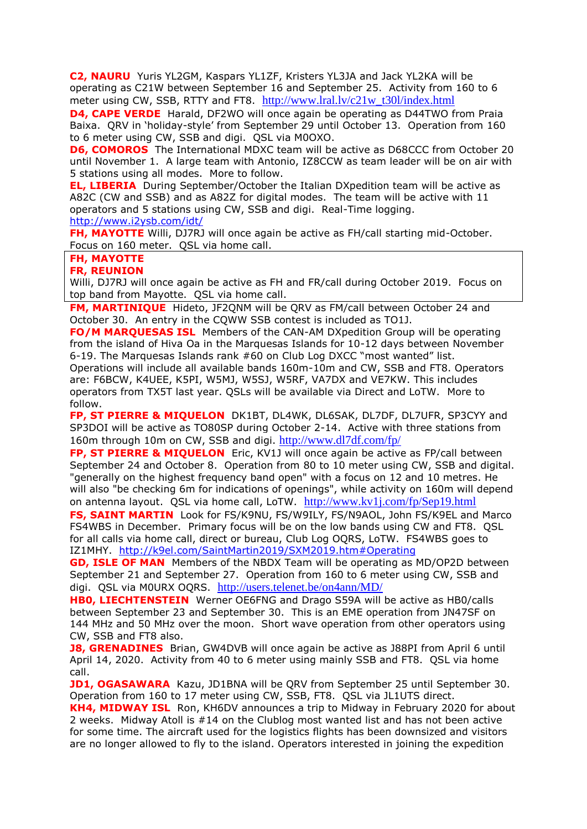**C2, NAURU** Yuris YL2GM, Kaspars YL1ZF, Kristers YL3JA and Jack YL2KA will be operating as C21W between September 16 and September 25. Activity from 160 to 6 meter using CW, SSB, RTTY and FT8. [http://www.lral.lv/c21w\\_t30l/index.html](http://www.lral.lv/c21w_t30l/index.html)

**D4, CAPE VERDE** Harald, DF2WO will once again be operating as D44TWO from Praia Baixa. QRV in 'holiday-style' from September 29 until October 13. Operation from 160 to 6 meter using CW, SSB and digi. QSL via M0OXO.

**D6, COMOROS** The International MDXC team will be active as D68CCC from October 20 until November 1. A large team with Antonio, IZ8CCW as team leader will be on air with 5 stations using all modes. More to follow.

**EL, LIBERIA** During September/October the Italian DXpedition team will be active as A82C (CW and SSB) and as A82Z for digital modes. The team will be active with 11 operators and 5 stations using CW, SSB and digi. Real-Time logging. <http://www.i2ysb.com/idt/>

**FH, MAYOTTE** Willi, DJ7RJ will once again be active as FH/call starting mid-October. Focus on 160 meter. QSL via home call.

**FH, MAYOTTE**

**FR, REUNION**

Willi, DJ7RJ will once again be active as FH and FR/call during October 2019. Focus on top band from Mayotte. QSL via home call.

**FM, MARTINIQUE** Hideto, JF2QNM will be QRV as FM/call between October 24 and October 30. An entry in the CQWW SSB contest is included as TO1J.

**FO/M MARQUESAS ISL** Members of the CAN-AM DXpedition Group will be operating from the island of Hiva Oa in the Marquesas Islands for 10-12 days between November 6-19. The Marquesas Islands rank #60 on Club Log DXCC "most wanted" list.

Operations will include all available bands 160m-10m and CW, SSB and FT8. Operators are: F6BCW, K4UEE, K5PI, W5MJ, W5SJ, W5RF, VA7DX and VE7KW. This includes operators from TX5T last year. QSLs will be available via Direct and LoTW. More to follow.

**FP, ST PIERRE & MIQUELON** DK1BT, DL4WK, DL6SAK, DL7DF, DL7UFR, SP3CYY and SP3DOI will be active as TO80SP during October 2-14. Active with three stations from 160m through 10m on CW, SSB and digi. <http://www.dl7df.com/fp/>

**FP, ST PIERRE & MIQUELON** Eric, KV1J will once again be active as FP/call between September 24 and October 8. Operation from 80 to 10 meter using CW, SSB and digital. "generally on the highest frequency band open" with a focus on 12 and 10 metres. He will also "be checking 6m for indications of openings", while activity on 160m will depend on antenna layout. QSL via home call, LoTW. <http://www.kv1j.com/fp/Sep19.html>

**FS, SAINT MARTIN** Look for FS/K9NU, FS/W9ILY, FS/N9AOL, John FS/K9EL and Marco FS4WBS in December. Primary focus will be on the low bands using CW and FT8. QSL for all calls via home call, direct or bureau, Club Log OQRS, LoTW. FS4WBS goes to IZ1MHY. <http://k9el.com/SaintMartin2019/SXM2019.htm#Operating>

**GD, ISLE OF MAN** Members of the NBDX Team will be operating as MD/OP2D between September 21 and September 27. Operation from 160 to 6 meter using CW, SSB and digi. QSL via M0URX OQRS. <http://users.telenet.be/on4ann/MD/>

**HB0, LIECHTENSTEIN** Werner OE6FNG and Drago S59A will be active as HB0/calls between September 23 and September 30. This is an EME operation from JN47SF on 144 MHz and 50 MHz over the moon. Short wave operation from other operators using CW, SSB and FT8 also.

**J8, GRENADINES** Brian, GW4DVB will once again be active as J88PI from April 6 until April 14, 2020. Activity from 40 to 6 meter using mainly SSB and FT8. QSL via home call.

**JD1, OGASAWARA** Kazu, JD1BNA will be QRV from September 25 until September 30. Operation from 160 to 17 meter using CW, SSB, FT8. QSL via JL1UTS direct.

**KH4, MIDWAY ISL** Ron, KH6DV announces a trip to Midway in February 2020 for about 2 weeks. Midway Atoll is #14 on the Clublog most wanted list and has not been active for some time. The aircraft used for the logistics flights has been downsized and visitors are no longer allowed to fly to the island. Operators interested in joining the expedition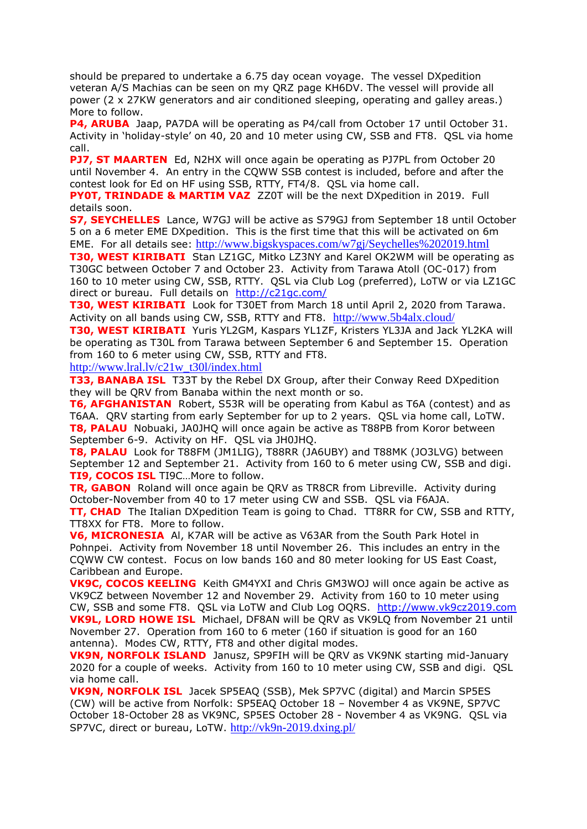should be prepared to undertake a 6.75 day ocean voyage. The vessel DXpedition veteran A/S Machias can be seen on my QRZ page KH6DV. The vessel will provide all power (2 x 27KW generators and air conditioned sleeping, operating and galley areas.) More to follow.

**P4, ARUBA** Jaap, PA7DA will be operating as P4/call from October 17 until October 31. Activity in 'holiday-style' on 40, 20 and 10 meter using CW, SSB and FT8. QSL via home call.

**PJ7, ST MAARTEN** Ed, N2HX will once again be operating as PJ7PL from October 20 until November 4. An entry in the CQWW SSB contest is included, before and after the contest look for Ed on HF using SSB, RTTY, FT4/8. QSL via home call.

**PY0T, TRINDADE & MARTIM VAZ** ZZ0T will be the next DXpedition in 2019. Full details soon.

**S7, SEYCHELLES** Lance, W7GJ will be active as S79GJ from September 18 until October 5 on a 6 meter EME DXpedition. This is the first time that this will be activated on 6m EME. For all details see: http://www.bigskyspaces.com/w7gj/Seychelles%202019.html

**T30, WEST KIRIBATI** Stan LZ1GC, Mitko LZ3NY and Karel OK2WM will be operating as T30GC between October 7 and October 23. Activity from Tarawa Atoll (OC-017) from 160 to 10 meter using CW, SSB, RTTY. QSL via Club Log (preferred), LoTW or via LZ1GC direct or bureau. Full details on <http://c21gc.com/>

**T30, WEST KIRIBATI** Look for T30ET from March 18 until April 2, 2020 from Tarawa. Activity on all bands using CW, SSB, RTTY and FT8. <http://www.5b4alx.cloud/>

**T30, WEST KIRIBATI** Yuris YL2GM, Kaspars YL1ZF, Kristers YL3JA and Jack YL2KA will be operating as T30L from Tarawa between September 6 and September 15. Operation from 160 to 6 meter using CW, SSB, RTTY and FT8.

[http://www.lral.lv/c21w\\_t30l/index.html](http://www.lral.lv/c21w_t30l/index.html)

**T33, BANABA ISL** T33T by the Rebel DX Group, after their Conway Reed DXpedition they will be QRV from Banaba within the next month or so.

**T6, AFGHANISTAN** Robert, S53R will be operating from Kabul as T6A (contest) and as T6AA. QRV starting from early September for up to 2 years. QSL via home call, LoTW. **T8, PALAU** Nobuaki, JA0JHQ will once again be active as T88PB from Koror between September 6-9. Activity on HF. QSL via JH0JHQ.

**T8, PALAU** Look for T88FM (JM1LIG), T88RR (JA6UBY) and T88MK (JO3LVG) between September 12 and September 21. Activity from 160 to 6 meter using CW, SSB and digi. **TI9, COCOS ISL** TI9C…More to follow.

**TR, GABON** Roland will once again be QRV as TR8CR from Libreville. Activity during October-November from 40 to 17 meter using CW and SSB. QSL via F6AJA. **TT, CHAD** The Italian DXpedition Team is going to Chad. TT8RR for CW, SSB and RTTY,

TT8XX for FT8. More to follow. **V6, MICRONESIA** Al, K7AR will be active as V63AR from the South Park Hotel in Pohnpei. Activity from November 18 until November 26. This includes an entry in the CQWW CW contest. Focus on low bands 160 and 80 meter looking for US East Coast, Caribbean and Europe.

**VK9C, COCOS KEELING** Keith GM4YXI and Chris GM3WOJ will once again be active as VK9CZ between November 12 and November 29. Activity from 160 to 10 meter using CW, SSB and some FT8. QSL via LoTW and Club Log OQRS. [http://www.vk9cz2019.com](http://www.vk9cz2019.com/) **VK9L, LORD HOWE ISL** Michael, DF8AN will be QRV as VK9LQ from November 21 until November 27. Operation from 160 to 6 meter (160 if situation is good for an 160 antenna). Modes CW, RTTY, FT8 and other digital modes.

**VK9N, NORFOLK ISLAND** Janusz, SP9FIH will be QRV as VK9NK starting mid-January 2020 for a couple of weeks. Activity from 160 to 10 meter using CW, SSB and digi. QSL via home call.

**VK9N, NORFOLK ISL** Jacek SP5EAQ (SSB), Mek SP7VC (digital) and Marcin SP5ES (CW) will be active from Norfolk: SP5EAQ October 18 – November 4 as VK9NE, SP7VC October 18-October 28 as VK9NC, SP5ES October 28 - November 4 as VK9NG. QSL via SP7VC, direct or bureau, LoTW. <http://vk9n-2019.dxing.pl/>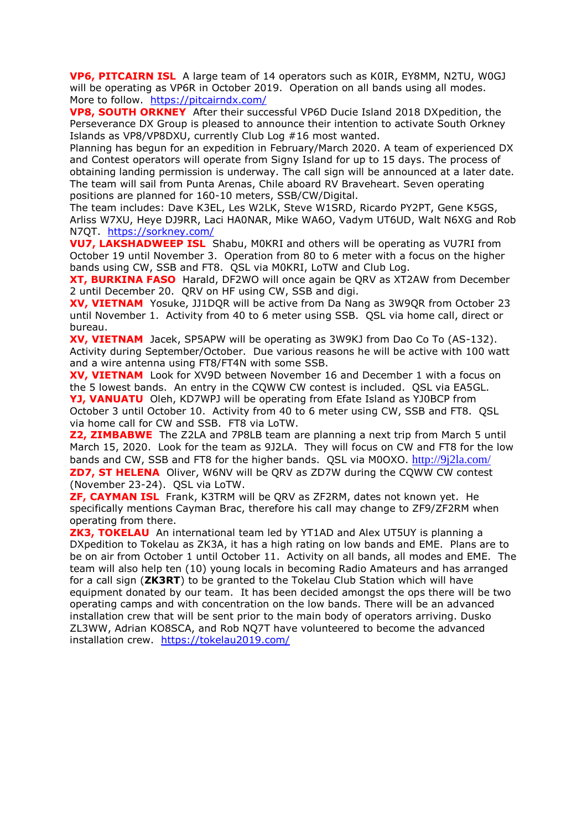**VP6, PITCAIRN ISL** A large team of 14 operators such as K0IR, EY8MM, N2TU, W0GJ will be operating as VP6R in October 2019. Operation on all bands using all modes. More to follow. <https://pitcairndx.com/>

**VP8, SOUTH ORKNEY** After their successful VP6D Ducie Island 2018 DXpedition, the Perseverance DX Group is pleased to announce their intention to activate South Orkney Islands as VP8/VP8DXU, currently Club Log #16 most wanted.

Planning has begun for an expedition in February/March 2020. A team of experienced DX and Contest operators will operate from Signy Island for up to 15 days. The process of obtaining landing permission is underway. The call sign will be announced at a later date. The team will sail from Punta Arenas, Chile aboard RV Braveheart. Seven operating positions are planned for 160-10 meters, SSB/CW/Digital.

The team includes: Dave K3EL, Les W2LK, Steve W1SRD, Ricardo PY2PT, Gene K5GS, Arliss W7XU, Heye DJ9RR, Laci HA0NAR, Mike WA6O, Vadym UT6UD, Walt N6XG and Rob N7QT. <https://sorkney.com/>

**VU7, LAKSHADWEEP ISL** Shabu, M0KRI and others will be operating as VU7RI from October 19 until November 3. Operation from 80 to 6 meter with a focus on the higher bands using CW, SSB and FT8. QSL via M0KRI, LoTW and Club Log.

**XT, BURKINA FASO** Harald, DF2WO will once again be QRV as XT2AW from December 2 until December 20. QRV on HF using CW, SSB and digi.

**XV, VIETNAM** Yosuke, JJ1DQR will be active from Da Nang as 3W9QR from October 23 until November 1. Activity from 40 to 6 meter using SSB. QSL via home call, direct or bureau.

**XV, VIETNAM** Jacek, SP5APW will be operating as 3W9KJ from Dao Co To (AS-132). Activity during September/October. Due various reasons he will be active with 100 watt and a wire antenna using FT8/FT4N with some SSB.

**XV, VIETNAM** Look for XV9D between November 16 and December 1 with a focus on the 5 lowest bands. An entry in the CQWW CW contest is included. QSL via EA5GL.

**YJ, VANUATU** Oleh, KD7WPJ will be operating from Efate Island as YJ0BCP from October 3 until October 10. Activity from 40 to 6 meter using CW, SSB and FT8. QSL via home call for CW and SSB. FT8 via LoTW.

**Z2, ZIMBABWE** The Z2LA and 7P8LB team are planning a next trip from March 5 until March 15, 2020. Look for the team as 9J2LA. They will focus on CW and FT8 for the low bands and CW, SSB and FT8 for the higher bands. QSL via M0OXO. <http://9j2la.com/> **ZD7, ST HELENA** Oliver, W6NV will be ORV as ZD7W during the COWW CW contest (November 23-24). QSL via LoTW.

**ZF, CAYMAN ISL** Frank, K3TRM will be QRV as ZF2RM, dates not known yet. He specifically mentions Cayman Brac, therefore his call may change to ZF9/ZF2RM when operating from there.

**ZK3, TOKELAU** An international team led by YT1AD and Alex UT5UY is planning a DXpedition to Tokelau as ZK3A, it has a high rating on low bands and EME. Plans are to be on air from October 1 until October 11. Activity on all bands, all modes and EME. The team will also help ten (10) young locals in becoming Radio Amateurs and has arranged for a call sign (**ZK3RT**) to be granted to the Tokelau Club Station which will have equipment donated by our team. It has been decided amongst the ops there will be two operating camps and with concentration on the low bands. There will be an advanced installation crew that will be sent prior to the main body of operators arriving. Dusko ZL3WW, Adrian KO8SCA, and Rob NQ7T have volunteered to become the advanced installation crew. <https://tokelau2019.com/>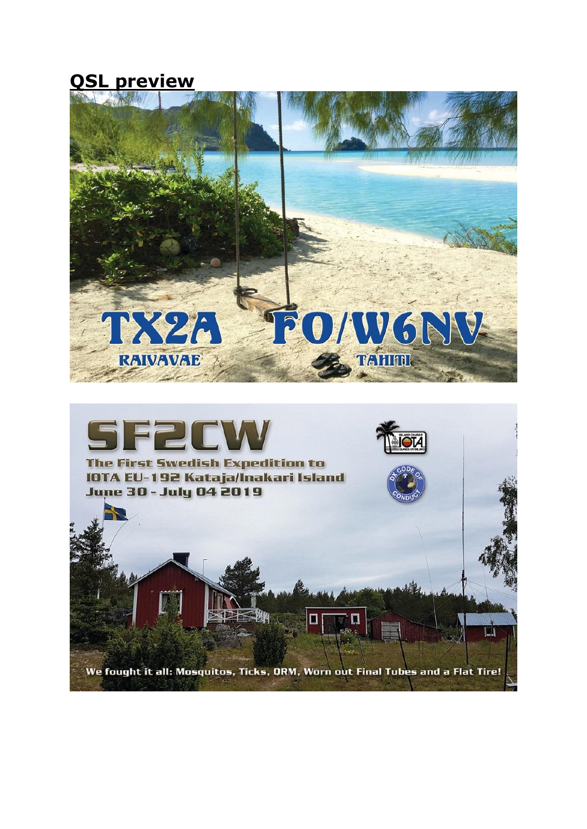**QSL preview**

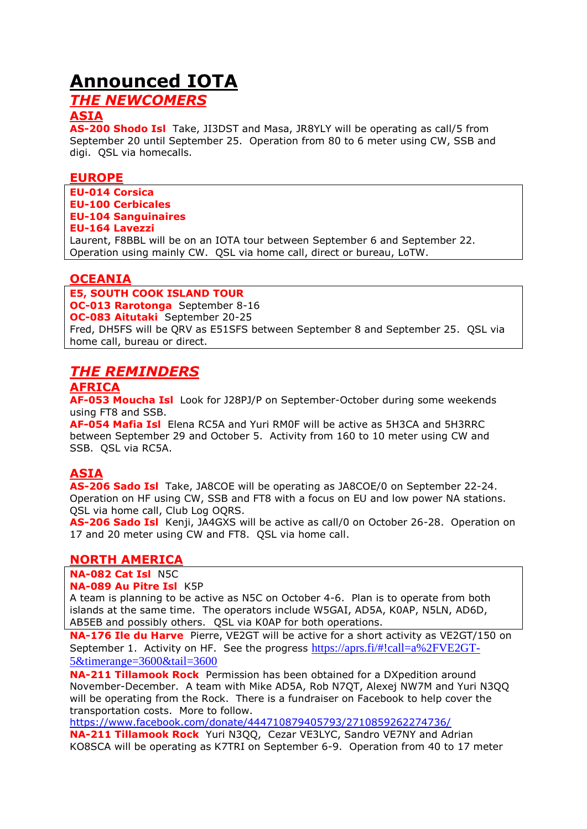## **Announced IOTA**

### *THE NEWCOMERS*

#### **ASIA**

**AS-200 Shodo Isl** Take, JI3DST and Masa, JR8YLY will be operating as call/5 from September 20 until September 25. Operation from 80 to 6 meter using CW, SSB and digi. QSL via homecalls.

#### **EUROPE**

**EU-014 Corsica EU-100 Cerbicales EU-104 Sanguinaires EU-164 Lavezzi**

Laurent, F8BBL will be on an IOTA tour between September 6 and September 22. Operation using mainly CW. QSL via home call, direct or bureau, LoTW.

#### **OCEANIA**

**E5, SOUTH COOK ISLAND TOUR OC-013 Rarotonga** September 8-16 **OC-083 Aitutaki** September 20-25 Fred, DH5FS will be QRV as E51SFS between September 8 and September 25. QSL via home call, bureau or direct.

### *THE REMINDERS*

#### **AFRICA**

**AF-053 Moucha Isl** Look for J28PJ/P on September-October during some weekends using FT8 and SSB.

**AF-054 Mafia Isl** Elena RC5A and Yuri RM0F will be active as 5H3CA and 5H3RRC between September 29 and October 5. Activity from 160 to 10 meter using CW and SSB. QSL via RC5A.

#### **ASIA**

**AS-206 Sado Isl** Take, JA8COE will be operating as JA8COE/0 on September 22-24. Operation on HF using CW, SSB and FT8 with a focus on EU and low power NA stations. QSL via home call, Club Log OQRS.

**AS-206 Sado Isl** Kenji, JA4GXS will be active as call/0 on October 26-28. Operation on 17 and 20 meter using CW and FT8. QSL via home call.

#### **NORTH AMERICA**

**NA-082 Cat Isl** N5C

#### **NA-089 Au Pitre Isl** K5P

A team is planning to be active as N5C on October 4-6. Plan is to operate from both islands at the same time. The operators include W5GAI, AD5A, K0AP, N5LN, AD6D, AB5EB and possibly others. QSL via K0AP for both operations.

**NA-176 Ile du Harve** Pierre, VE2GT will be active for a short activity as VE2GT/150 on September 1. Activity on HF. See the progress [https://aprs.fi/#!call=a%2FVE2GT-](https://aprs.fi/#!call=a%2FVE2GT-5&timerange=3600&tail=3600)[5&timerange=3600&tail=3600](https://aprs.fi/#!call=a%2FVE2GT-5&timerange=3600&tail=3600)

**NA-211 Tillamook Rock** Permission has been obtained for a DXpedition around November-December. A team with Mike AD5A, Rob N7QT, Alexej NW7M and Yuri N3QQ will be operating from the Rock. There is a fundraiser on Facebook to help cover the transportation costs. More to follow.

<https://www.facebook.com/donate/444710879405793/2710859262274736/> **NA-211 Tillamook Rock** Yuri N3QQ, Cezar VE3LYC, Sandro VE7NY and Adrian KO8SCA will be operating as K7TRI on September 6-9. Operation from 40 to 17 meter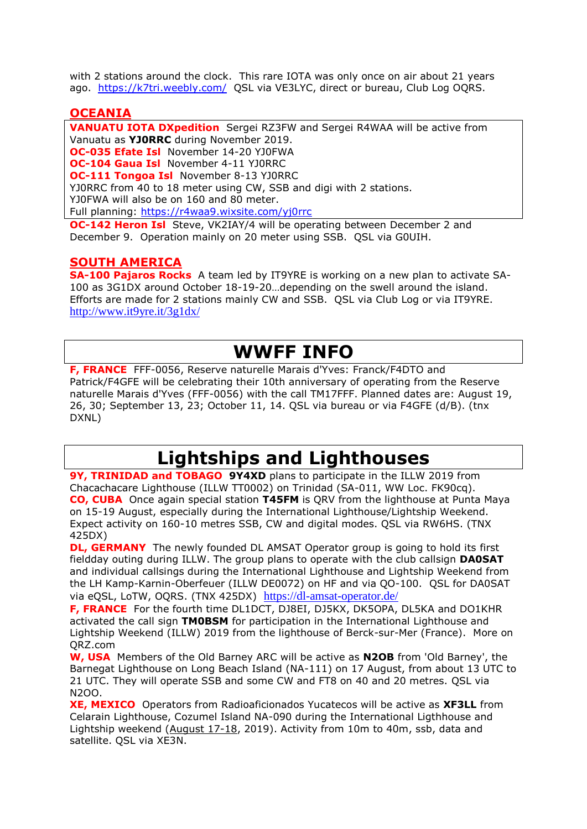with 2 stations around the clock. This rare IOTA was only once on air about 21 years ago. <https://k7tri.weebly.com/>QSL via VE3LYC, direct or bureau, Club Log OQRS.

#### **OCEANIA**

**VANUATU IOTA DXpedition** Sergei RZ3FW and Sergei R4WAA will be active from Vanuatu as **YJ0RRC** during November 2019. **OC-035 Efate Isl** November 14-20 YJ0FWA **OC-104 Gaua Isl** November 4-11 YJ0RRC **OC-111 Tongoa Isl** November 8-13 YJ0RRC YJ0RRC from 40 to 18 meter using CW, SSB and digi with 2 stations. YJ0FWA will also be on 160 and 80 meter. Full planning:<https://r4waa9.wixsite.com/yj0rrc>

**OC-142 Heron Isl** Steve, VK2IAY/4 will be operating between December 2 and December 9. Operation mainly on 20 meter using SSB. QSL via G0UIH.

#### **SOUTH AMERICA**

**SA-100 Pajaros Rocks** A team led by IT9YRE is working on a new plan to activate SA-100 as 3G1DX around October 18-19-20…depending on the swell around the island. Efforts are made for 2 stations mainly CW and SSB. QSL via Club Log or via IT9YRE. <http://www.it9yre.it/3g1dx/>

## **WWFF INFO**

**F, FRANCE** FFF-0056, Reserve naturelle Marais d'Yves: Franck/F4DTO and Patrick/F4GFE will be celebrating their 10th anniversary of operating from the Reserve naturelle Marais d'Yves (FFF-0056) with the call TM17FFF. Planned dates are: August 19, 26, 30; September 13, 23; October 11, 14. QSL via bureau or via F4GFE (d/B). (tnx DXNL)

## **Lightships and Lighthouses**

**9Y, TRINIDAD and TOBAGO 9Y4XD** plans to participate in the ILLW 2019 from Chacachacare Lighthouse (ILLW TT0002) on Trinidad (SA-011, WW Loc. FK90cq). **CO, CUBA** Once again special station **T45FM** is QRV from the lighthouse at Punta Maya on 15-19 August, especially during the International Lighthouse/Lightship Weekend. Expect activity on 160-10 metres SSB, CW and digital modes. QSL via RW6HS. (TNX 425DX)

**DL, GERMANY** The newly founded DL AMSAT Operator group is going to hold its first fieldday outing during ILLW. The group plans to operate with the club callsign **DA0SAT** and individual callsings during the International Lighthouse and Lightship Weekend from the LH Kamp-Karnin-Oberfeuer (ILLW DE0072) on HF and via QO-100. QSL for DA0SAT via eQSL, LoTW, OQRS. (TNX 425DX) <https://dl-amsat-operator.de/>

**F, FRANCE** For the fourth time DL1DCT, DJ8EI, DJ5KX, DK5OPA, DL5KA and DO1KHR activated the call sign **TM0BSM** for participation in the International Lighthouse and Lightship Weekend (ILLW) 2019 from the lighthouse of Berck-sur-Mer (France). More on QRZ.com

**W, USA** Members of the Old Barney ARC will be active as **N2OB** from 'Old Barney', the Barnegat Lighthouse on Long Beach Island (NA-111) on 17 August, from about 13 UTC to 21 UTC. They will operate SSB and some CW and FT8 on 40 and 20 metres. QSL via N2OO.

**XE, MEXICO** Operators from Radioaficionados Yucatecos will be active as **XF3LL** from Celarain Lighthouse, Cozumel Island NA-090 during the International Ligthhouse and Lightship weekend (August 17-18, 2019). Activity from 10m to 40m, ssb, data and satellite. QSL via XE3N.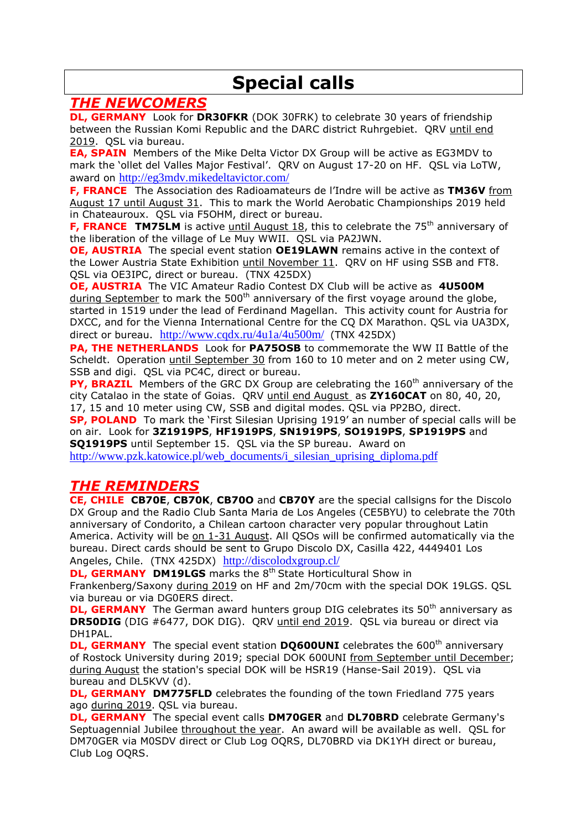## **Special calls**

### *THE NEWCOMERS*

**DL, GERMANY** Look for **DR30FKR** (DOK 30FRK) to celebrate 30 years of friendship between the Russian Komi Republic and the DARC district Ruhrgebiet. QRV until end 2019. QSL via bureau.

**EA, SPAIN** Members of the Mike Delta Victor DX Group will be active as EG3MDV to mark the 'ollet del Valles Major Festival'. QRV on August 17-20 on HF. QSL via LoTW, award on <http://eg3mdv.mikedeltavictor.com/>

**F, FRANCE** The Association des Radioamateurs de l'Indre will be active as **TM36V** from August 17 until August 31. This to mark the World Aerobatic Championships 2019 held in Chateauroux. QSL via F5OHM, direct or bureau.

**F, FRANCE TM75LM** is active until August 18, this to celebrate the 75<sup>th</sup> anniversary of the liberation of the village of Le Muy WWII. QSL via PA2JWN.

**OE, AUSTRIA** The special event station **OE19LAWN** remains active in the context of the Lower Austria State Exhibition until November 11. QRV on HF using SSB and FT8. QSL via OE3IPC, direct or bureau. (TNX 425DX)

**OE, AUSTRIA** The VIC Amateur Radio Contest DX Club will be active as **4U500M**  during September to mark the 500<sup>th</sup> anniversary of the first voyage around the globe, started in 1519 under the lead of Ferdinand Magellan. This activity count for Austria for DXCC, and for the Vienna International Centre for the CQ DX Marathon. QSL via UA3DX, direct or bureau. <http://www.cqdx.ru/4u1a/4u500m/>(TNX 425DX)

**PA, THE NETHERLANDS** Look for **PA75OSB** to commemorate the WW II Battle of the Scheldt. Operation until September 30 from 160 to 10 meter and on 2 meter using CW, SSB and digi. QSL via PC4C, direct or bureau.

**PY, BRAZIL** Members of the GRC DX Group are celebrating the 160<sup>th</sup> anniversary of the city Catalao in the state of Goias. QRV until end August as **ZY160CAT** on 80, 40, 20, 17, 15 and 10 meter using CW, SSB and digital modes. QSL via PP2BO, direct.

**SP, POLAND** To mark the 'First Silesian Uprising 1919' an number of special calls will be on air. Look for **3Z1919PS**, **HF1919PS**, **SN1919PS**, **SO1919PS**, **SP1919PS** and **SQ1919PS** until September 15. QSL via the SP bureau. Award on

[http://www.pzk.katowice.pl/web\\_documents/i\\_silesian\\_uprising\\_diploma.pdf](http://www.pzk.katowice.pl/web_documents/i_silesian_uprising_diploma.pdf)

### *THE REMINDERS*

**CE, CHILE CB70E**, **CB70K**, **CB70O** and **CB70Y** are the special callsigns for the Discolo DX Group and the Radio Club Santa Maria de Los Angeles (CE5BYU) to celebrate the 70th anniversary of Condorito, a Chilean cartoon character very popular throughout Latin America. Activity will be on 1-31 August. All QSOs will be confirmed automatically via the bureau. Direct cards should be sent to Grupo Discolo DX, Casilla 422, 4449401 Los Angeles, Chile. (TNX 425DX) <http://discolodxgroup.cl/>

**DL, GERMANY DM19LGS** marks the 8<sup>th</sup> State Horticultural Show in

Frankenberg/Saxony during 2019 on HF and 2m/70cm with the special DOK 19LGS. QSL via bureau or via DG0ERS direct.

**DL, GERMANY** The German award hunters group DIG celebrates its 50<sup>th</sup> anniversary as **DR50DIG** (DIG #6477, DOK DIG). QRV until end 2019. QSL via bureau or direct via DH1PAL.

**DL, GERMANY** The special event station **DQ600UNI** celebrates the 600<sup>th</sup> anniversary of Rostock University during 2019; special DOK 600UNI from September until December; during August the station's special DOK will be HSR19 (Hanse-Sail 2019). QSL via bureau and DL5KVV (d).

**DL, GERMANY DM775FLD** celebrates the founding of the town Friedland 775 years ago during 2019. QSL via bureau.

**DL, GERMANY** The special event calls **DM70GER** and **DL70BRD** celebrate Germany's Septuagennial Jubilee throughout the year. An award will be available as well. QSL for DM70GER via M0SDV direct or Club Log OQRS, DL70BRD via DK1YH direct or bureau, Club Log OQRS.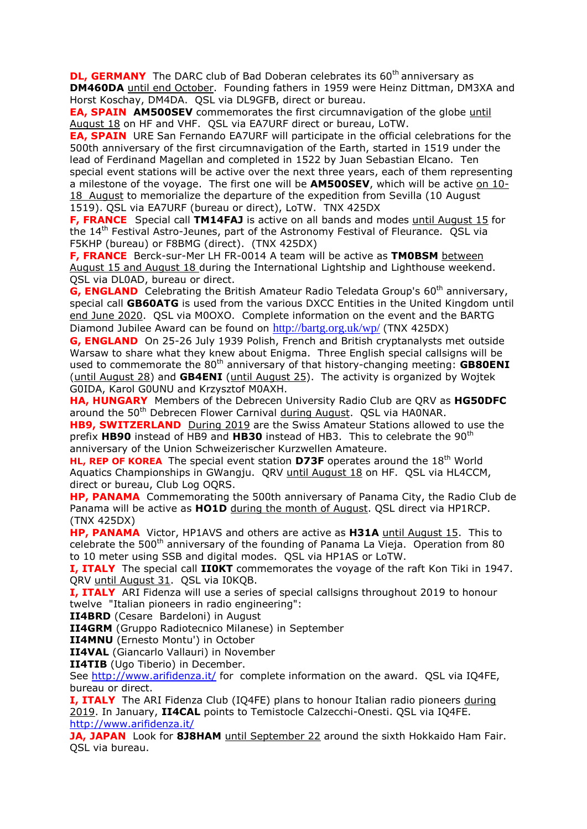**DL, GERMANY** The DARC club of Bad Doberan celebrates its 60<sup>th</sup> anniversary as **DM460DA** until end October. Founding fathers in 1959 were Heinz Dittman, DM3XA and Horst Koschay, DM4DA. QSL via DL9GFB, direct or bureau.

**EA, SPAIN AM500SEV** commemorates the first circumnavigation of the globe until August 18 on HF and VHF. QSL via EA7URF direct or bureau, LoTW.

**EA, SPAIN** URE San Fernando EA7URF will participate in the official celebrations for the 500th anniversary of the first circumnavigation of the Earth, started in 1519 under the lead of Ferdinand Magellan and completed in 1522 by Juan Sebastian Elcano. Ten special event stations will be active over the next three years, each of them representing a milestone of the voyage. The first one will be **AM500SEV**, which will be active on 10- 18 August to memorialize the departure of the expedition from Sevilla (10 August 1519). QSL via EA7URF (bureau or direct), LoTW. TNX 425DX

**F, FRANCE** Special call **TM14FAJ** is active on all bands and modes until August 15 for the 14<sup>th</sup> Festival Astro-Jeunes, part of the Astronomy Festival of Fleurance. QSL via F5KHP (bureau) or F8BMG (direct). (TNX 425DX)

**F, FRANCE** Berck-sur-Mer LH FR-0014 A team will be active as **TM0BSM** between August 15 and August 18 during the International Lightship and Lighthouse weekend. QSL via DL0AD, bureau or direct.

**G, ENGLAND** Celebrating the British Amateur Radio Teledata Group's 60<sup>th</sup> anniversary, special call **GB60ATG** is used from the various DXCC Entities in the United Kingdom until end June 2020. QSL via M0OXO. Complete information on the event and the BARTG Diamond Jubilee Award can be found on <http://bartg.org.uk/wp/> (TNX 425DX)

**G, ENGLAND** On 25-26 July 1939 Polish, French and British cryptanalysts met outside Warsaw to share what they knew about Enigma. Three English special callsigns will be used to commemorate the 80<sup>th</sup> anniversary of that history-changing meeting: GB80ENI (until August 28) and **GB4ENI** (until August 25). The activity is organized by Wojtek G0IDA, Karol G0UNU and Krzysztof M0AXH.

**HA, HUNGARY** Members of the Debrecen University Radio Club are QRV as **HG50DFC** around the 50<sup>th</sup> Debrecen Flower Carnival during August. QSL via HA0NAR.

**HB9, SWITZERLAND** During 2019 are the Swiss Amateur Stations allowed to use the prefix **HB90** instead of HB9 and **HB30** instead of HB3. This to celebrate the 90th anniversary of the Union Schweizerischer Kurzwellen Amateure.

**HL, REP OF KOREA** The special event station D73F operates around the 18<sup>th</sup> World Aquatics Championships in GWangju. QRV until August 18 on HF. QSL via HL4CCM, direct or bureau, Club Log OQRS.

**HP, PANAMA** Commemorating the 500th anniversary of Panama City, the Radio Club de Panama will be active as **HO1D** during the month of August. QSL direct via HP1RCP. (TNX 425DX)

**HP, PANAMA** Victor, HP1AVS and others are active as **H31A** until August 15. This to celebrate the  $500<sup>th</sup>$  anniversary of the founding of Panama La Vieja. Operation from 80 to 10 meter using SSB and digital modes. QSL via HP1AS or LoTW.

**I, ITALY** The special call **II0KT** commemorates the voyage of the raft Kon Tiki in 1947. QRV until August 31. QSL via I0KQB.

**I, ITALY** ARI Fidenza will use a series of special callsigns throughout 2019 to honour twelve "Italian pioneers in radio engineering":

**II4BRD** (Cesare Bardeloni) in August

**II4GRM** (Gruppo Radiotecnico Milanese) in September

**II4MNU** (Ernesto Montu') in October

**II4VAL** (Giancarlo Vallauri) in November

**II4TIB** (Ugo Tiberio) in December.

See<http://www.arifidenza.it/> for complete information on the award. QSL via IQ4FE, bureau or direct.

**I, ITALY** The ARI Fidenza Club (IQ4FE) plans to honour Italian radio pioneers during 2019. In January, **II4CAL** points to Temistocle Calzecchi-Onesti. QSL via IQ4FE. <http://www.arifidenza.it/>

**JA, JAPAN** Look for 8J8HAM until September 22 around the sixth Hokkaido Ham Fair. QSL via bureau.